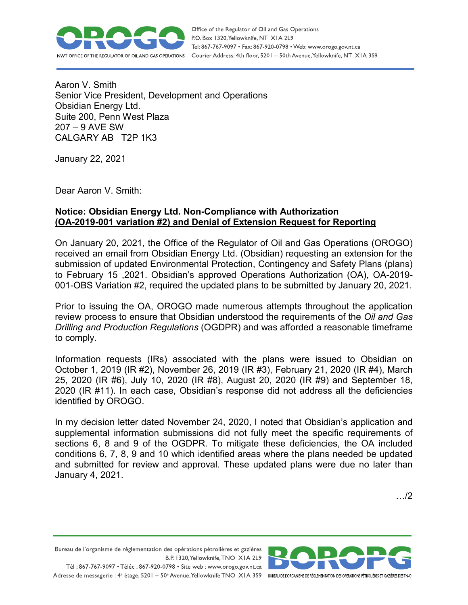

Office of the Regulator of Oil and Gas Operations P.O. Box 1320, Yellowknife, NT XIA 2L9 Tel: 867-767-9097 • Fax: 867-920-0798 • Web: www.orogo.gov.nt.ca Courier Address: 4th floor, 5201 - 50th Avenue, Yellowknife, NT XIA 3S9

Aaron V. Smith Senior Vice President, Development and Operations Obsidian Energy Ltd. Suite 200, Penn West Plaza 207 – 9 AVE SW CALGARY AB T2P 1K3

January 22, 2021

Dear Aaron V. Smith:

## **Notice: Obsidian Energy Ltd. Non-Compliance with Authorization (OA-2019-001 variation #2) and Denial of Extension Request for Reporting**

On January 20, 2021, the Office of the Regulator of Oil and Gas Operations (OROGO) received an email from Obsidian Energy Ltd. (Obsidian) requesting an extension for the submission of updated Environmental Protection, Contingency and Safety Plans (plans) to February 15 ,2021. Obsidian's approved Operations Authorization (OA), OA-2019- 001-OBS Variation #2, required the updated plans to be submitted by January 20, 2021.

Prior to issuing the OA, OROGO made numerous attempts throughout the application review process to ensure that Obsidian understood the requirements of the *Oil and Gas Drilling and Production Regulations* (OGDPR) and was afforded a reasonable timeframe to comply.

Information requests (IRs) associated with the plans were issued to Obsidian on October 1, 2019 (IR #2), November 26, 2019 (IR #3), February 21, 2020 (IR #4), March 25, 2020 (IR #6), July 10, 2020 (IR #8), August 20, 2020 (IR #9) and September 18, 2020 (IR #11). In each case, Obsidian's response did not address all the deficiencies identified by OROGO.

In my decision letter dated November 24, 2020, I noted that Obsidian's application and supplemental information submissions did not fully meet the specific requirements of sections 6, 8 and 9 of the OGDPR. To mitigate these deficiencies, the OA included conditions 6, 7, 8, 9 and 10 which identified areas where the plans needed be updated and submitted for review and approval. These updated plans were due no later than January 4, 2021.

…/2

Bureau de l'organisme de réglementation des opérations pétrolières et gazières B.P. 1320, Yellowknife, TNO XIA 2L9 Tél: 867-767-9097 • Téléc: 867-920-0798 • Site web: www.orogo.gov.nt.ca

Adresse de messagerie : 4<sup>e</sup> étage, 5201 - 50° Avenue, Yellowknife TNO XIA 3S9 BUREAU DEL'ORGANISME DE RÉGLEMENTATION DES OPERATIONS PÉTROLIÈRES ET GAZIÈRES DESTNO